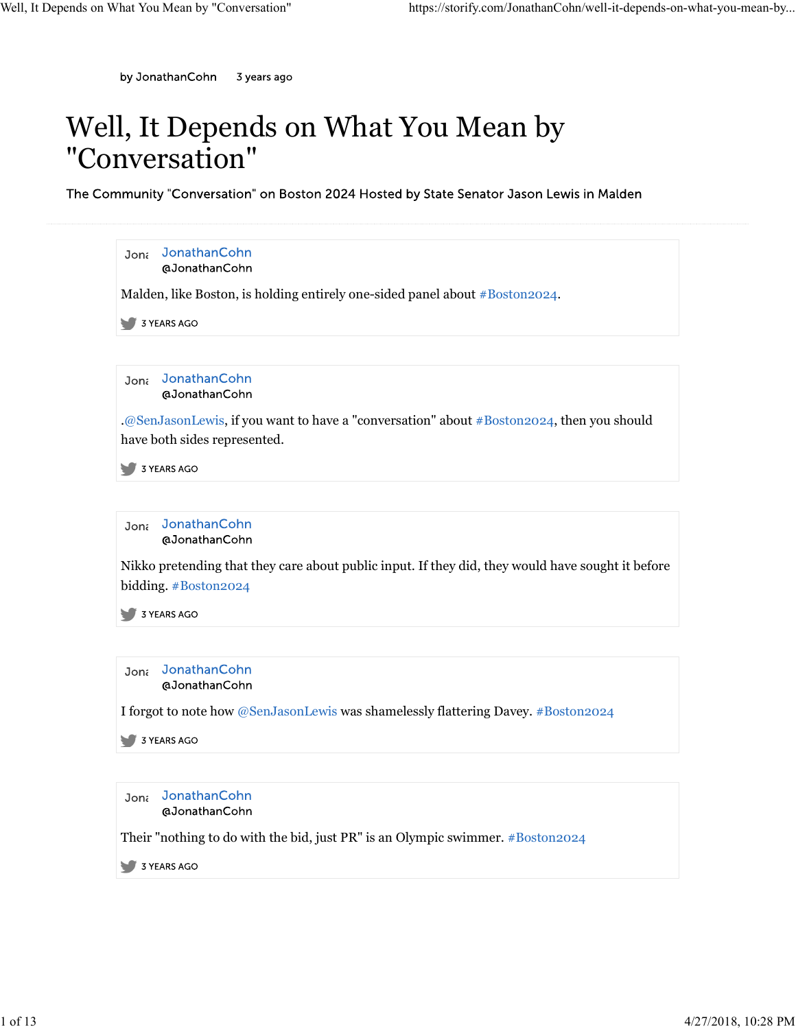## Well, It Depends on What You Mean by "Conversation"

The Community "Conversation" on Boston 2024 Hosted by State Senator Jason Lewis in Malden

| JonathanCohn<br>Jona<br>@JonathanCohn<br>JonathanCohn<br>Jona<br>@JonathanCohn<br>.@SenJasonLewis, if you want to have a "conversation" about #Boston2024, then you should<br>JonathanCohn<br>Jona<br>@JonathanCohn<br>3 YEARS AGO<br>Jon <sub>i</sub> JonathanCohn<br>@JonathanCohn<br>3 YEARS AGO<br>Jona JonathanCohn<br>@JonathanCohn |  |
|-------------------------------------------------------------------------------------------------------------------------------------------------------------------------------------------------------------------------------------------------------------------------------------------------------------------------------------------|--|
| Malden, like Boston, is holding entirely one-sided panel about #Boston2024.<br>3 YEARS AGO<br>3 YEARS AGO<br>3 YEARS AGO                                                                                                                                                                                                                  |  |
|                                                                                                                                                                                                                                                                                                                                           |  |
|                                                                                                                                                                                                                                                                                                                                           |  |
| have both sides represented.<br>Nikko pretending that they care about public input. If they did, they would have sought it before<br>bidding. #Boston2024<br>I forgot to note how @SenJasonLewis was shamelessly flattering Davey. #Boston2024<br>Their "nothing to do with the bid, just PR" is an Olympic swimmer. #Boston2024          |  |
|                                                                                                                                                                                                                                                                                                                                           |  |
|                                                                                                                                                                                                                                                                                                                                           |  |
|                                                                                                                                                                                                                                                                                                                                           |  |
|                                                                                                                                                                                                                                                                                                                                           |  |
|                                                                                                                                                                                                                                                                                                                                           |  |
|                                                                                                                                                                                                                                                                                                                                           |  |
|                                                                                                                                                                                                                                                                                                                                           |  |
|                                                                                                                                                                                                                                                                                                                                           |  |
|                                                                                                                                                                                                                                                                                                                                           |  |
|                                                                                                                                                                                                                                                                                                                                           |  |
|                                                                                                                                                                                                                                                                                                                                           |  |
|                                                                                                                                                                                                                                                                                                                                           |  |
|                                                                                                                                                                                                                                                                                                                                           |  |
|                                                                                                                                                                                                                                                                                                                                           |  |
|                                                                                                                                                                                                                                                                                                                                           |  |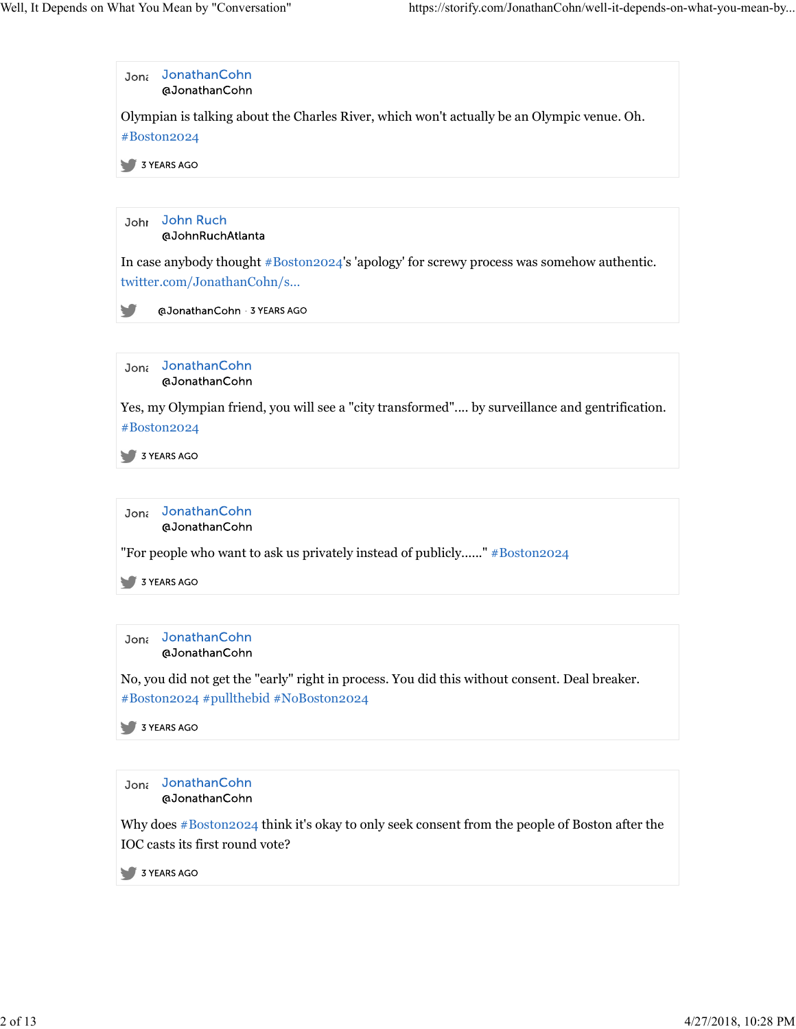

Why does #Boston2024 think it's okay to only seek consent from the people of Boston after the IOC casts its first round vote?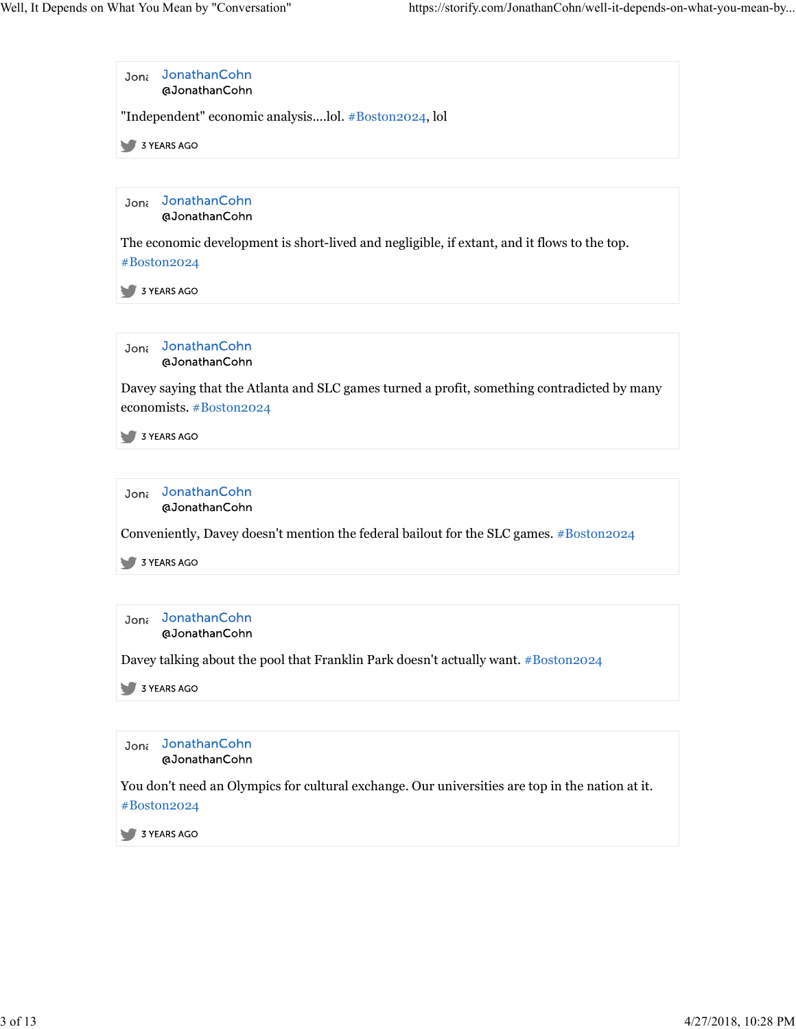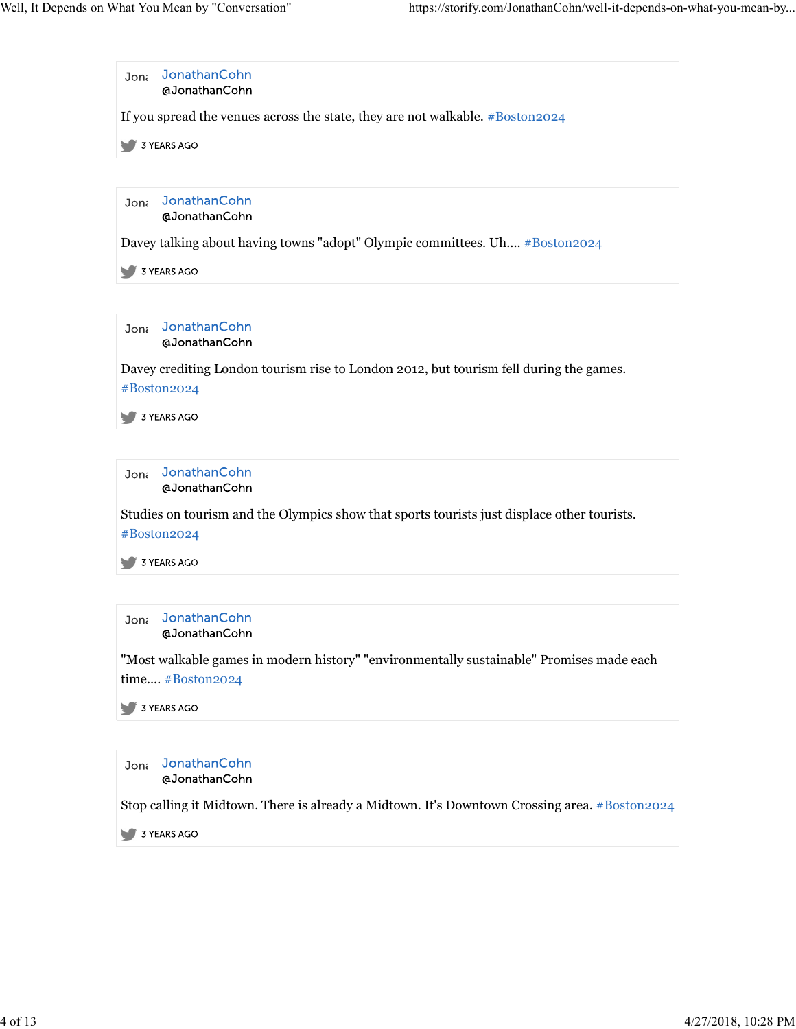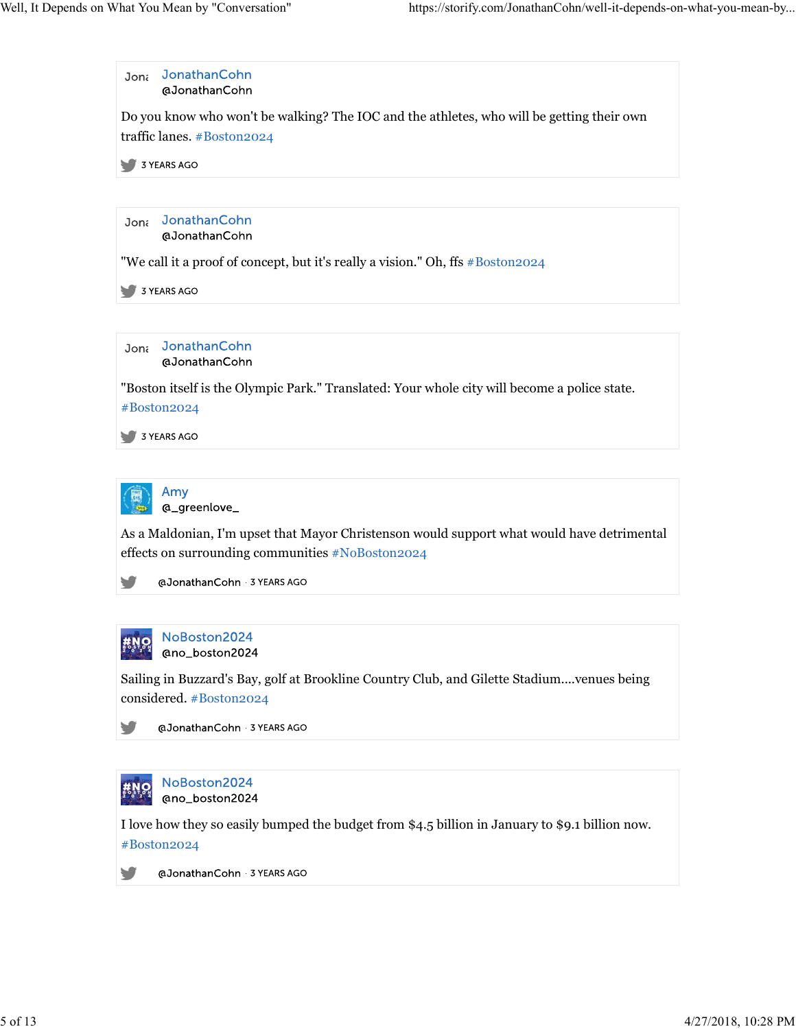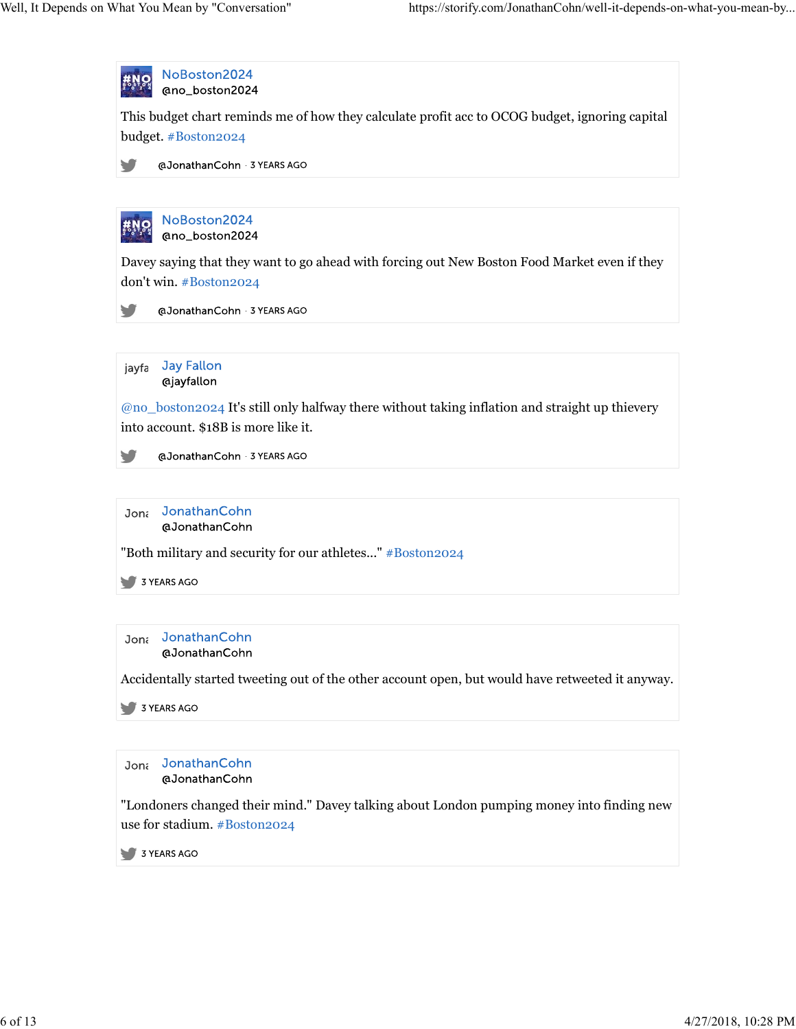

use for stadium. #Boston2024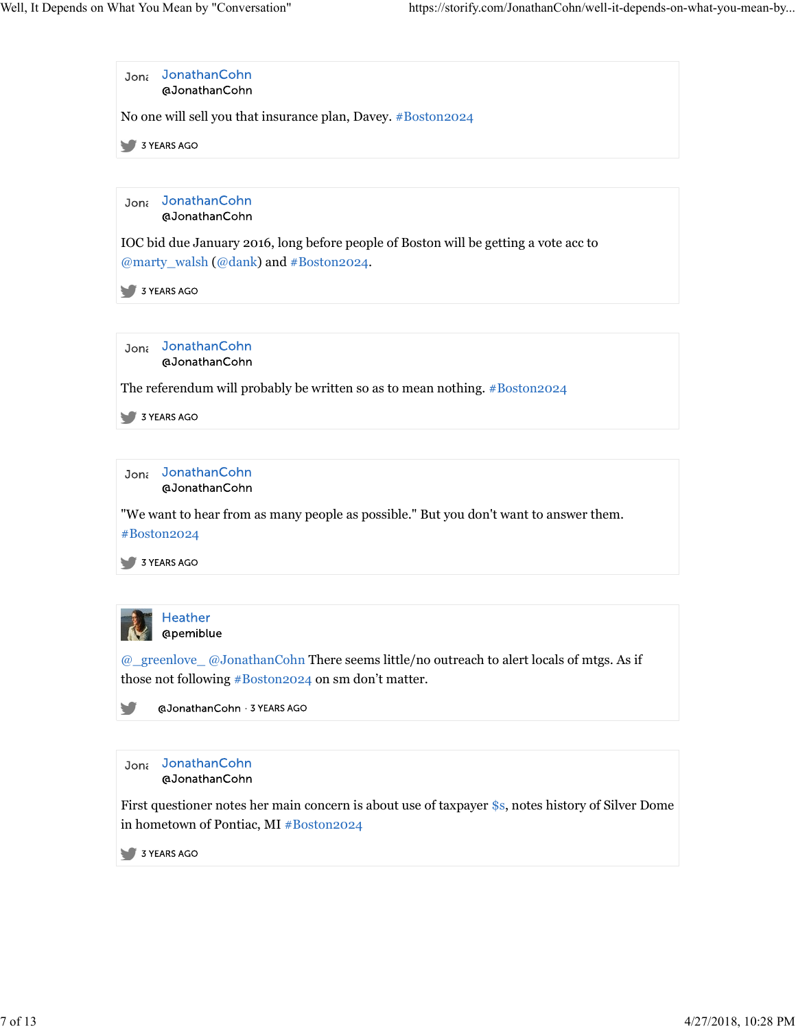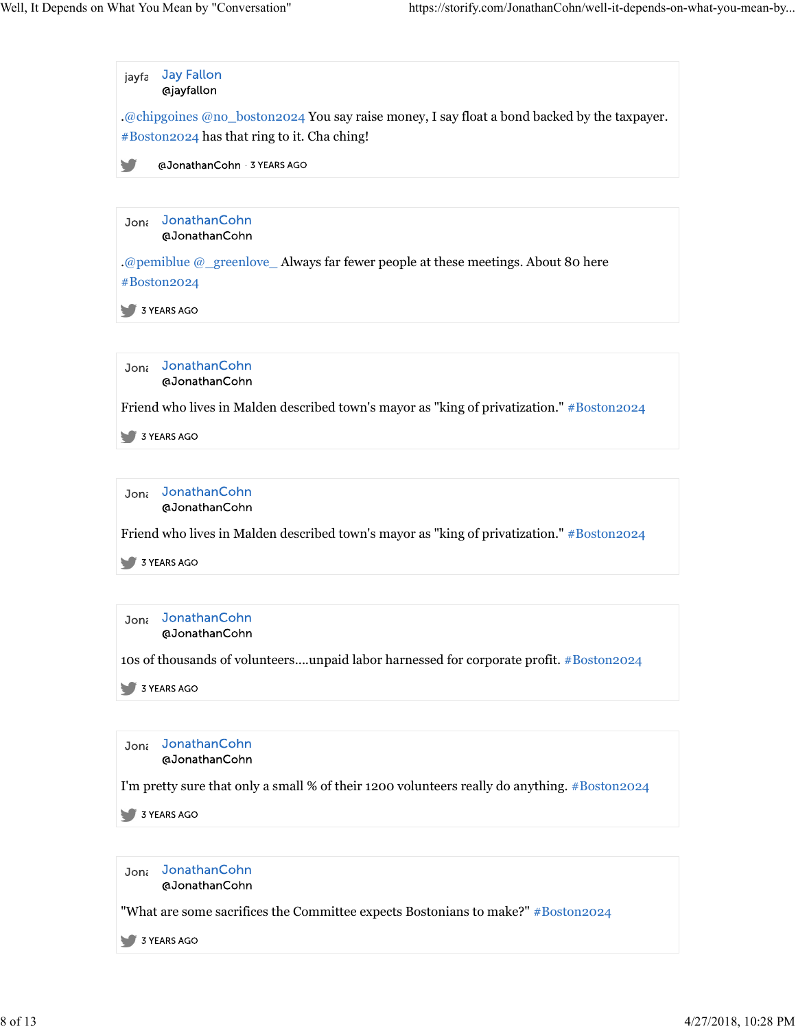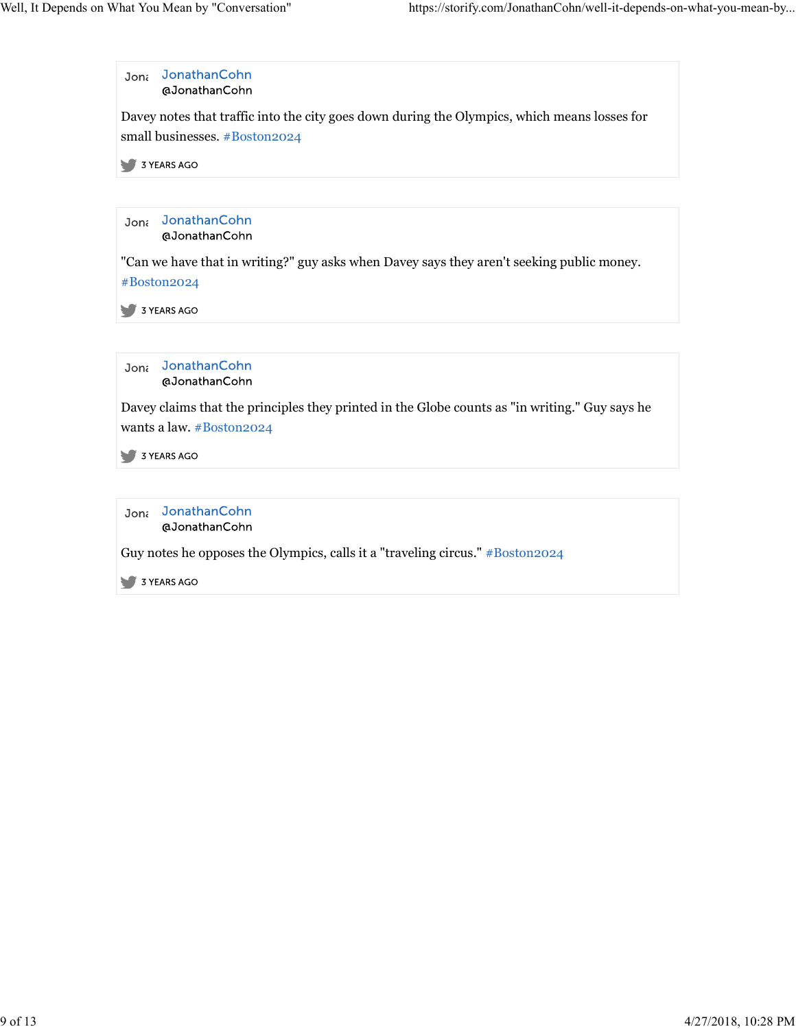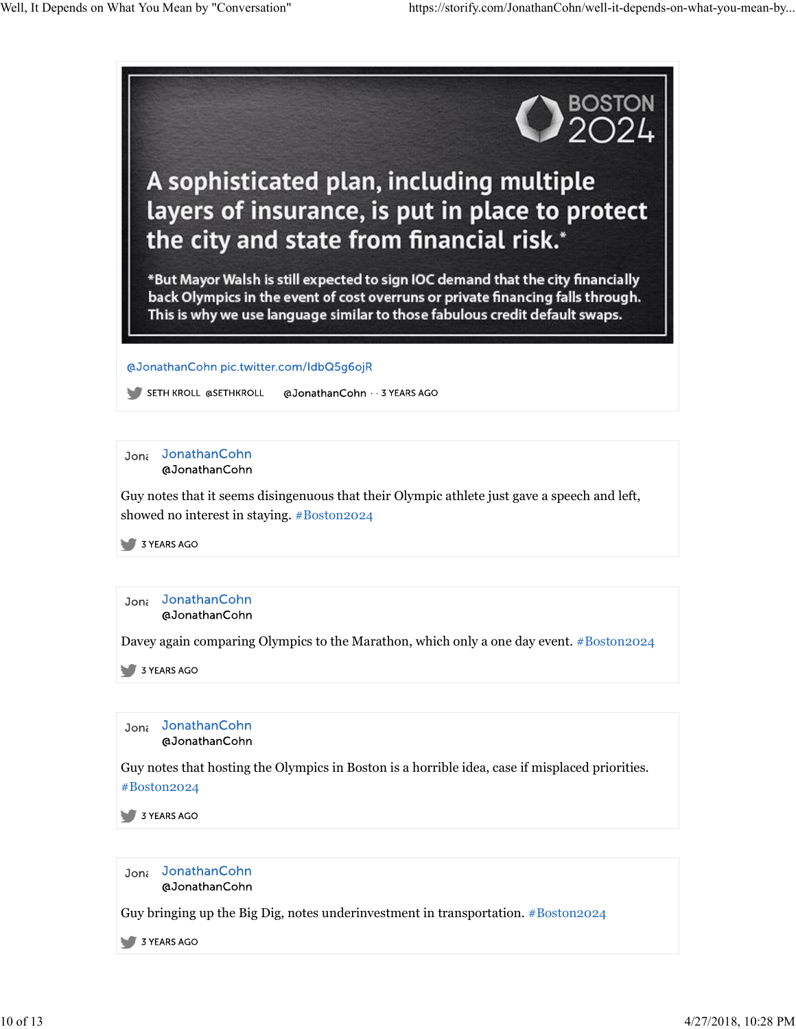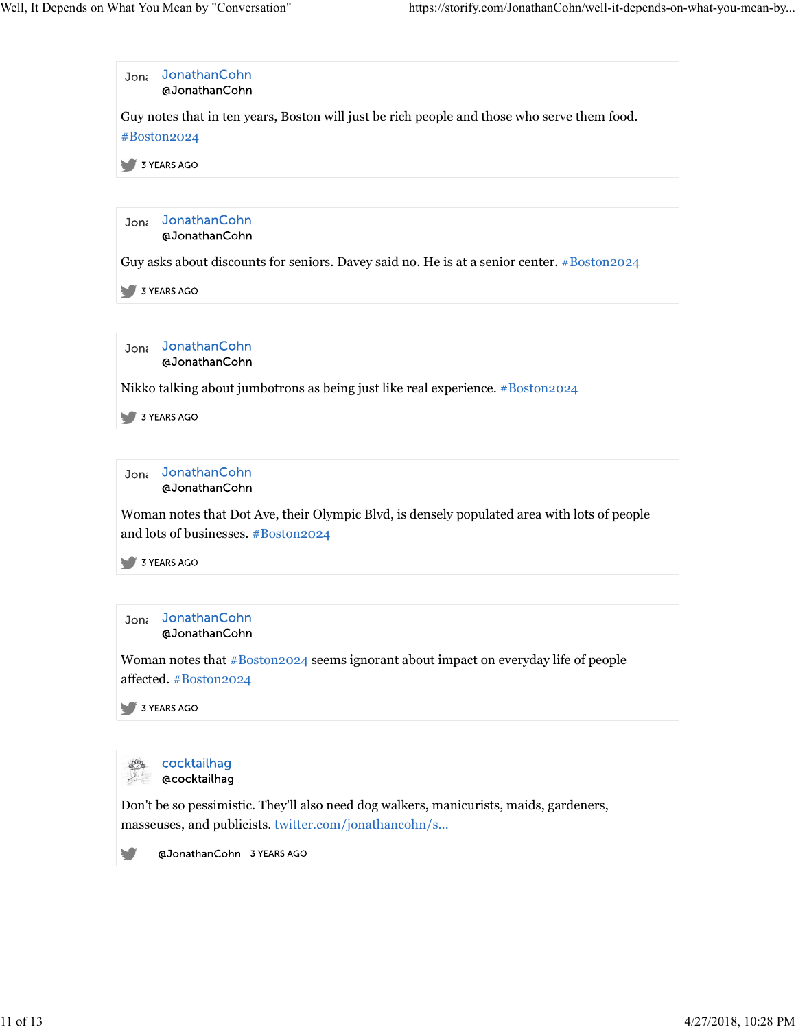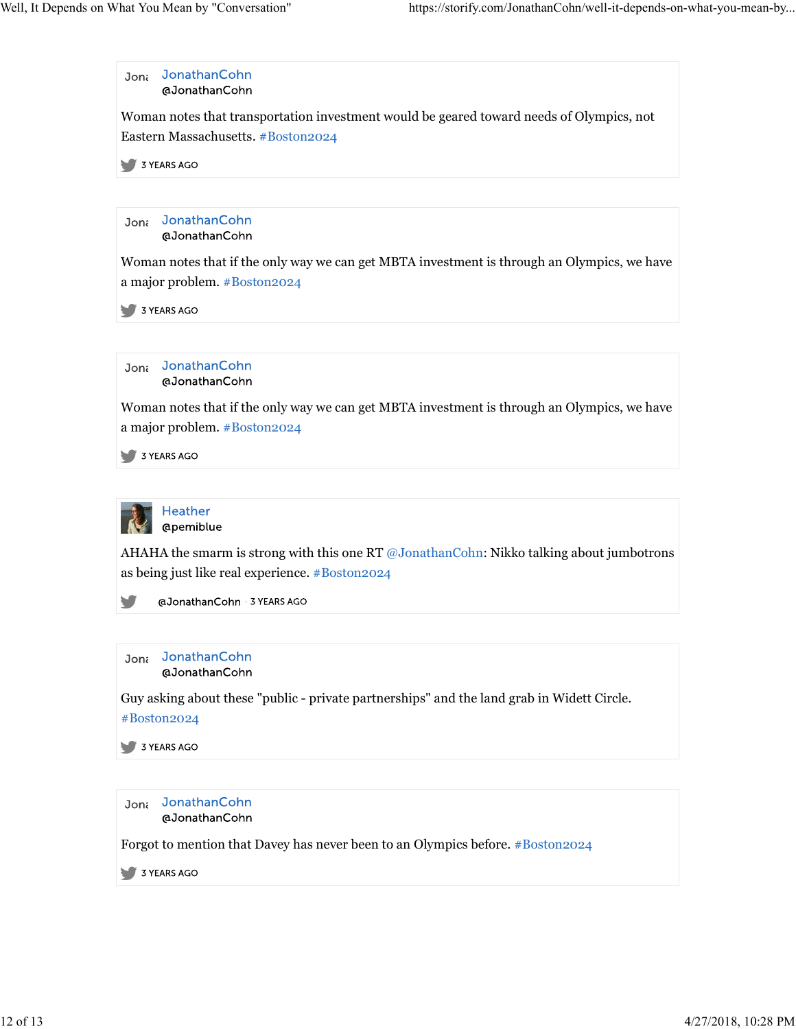

Forgot to mention that Davey has never been to an Olympics before. #Boston2024